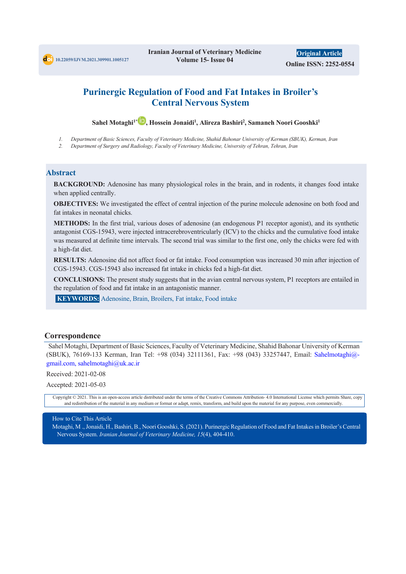# **Purinergic Regulation of Food and Fat Intakes in Broiler's Central Nervous System**

 $\boldsymbol{\mathsf{S}}$ ahel Motaghi<sup>1\*</sup>  $\boldsymbol{\mathsf{P}}$ , Hossein Jonaidi<sup>1</sup>, Alireza Bashiri<sup>2</sup>, Samaneh Noori Gooshki<sup>1</sup>

*1. Department of Basic Sciences, Faculty of Veterinary Medicine, Shahid Bahonar University of Kerman (SBUK), Kerman, Iran*

*2. Department of Surgery and Radiology, Faculty of Veterinary Medicine, University of Tehran, Tehran, Iran*

#### **Abstract**

**BACKGROUND:** Adenosine has many physiological roles in the brain, and in rodents, it changes food intake when applied centrally.

**OBJECTIVES:** We investigated the effect of central injection of the purine molecule adenosine on both food and fat intakes in neonatal chicks.

**METHODS:** In the first trial, various doses of adenosine (an endogenous P1 receptor agonist), and its synthetic antagonist CGS-15943, were injected intracerebroventricularly (ICV) to the chicks and the cumulative food intake was measured at definite time intervals. The second trial was similar to the first one, only the chicks were fed with a high-fat diet.

**RESULTS:** Adenosine did not affect food or fat intake. Food consumption was increased 30 min after injection of CGS-15943. CGS-15943 also increased fat intake in chicks fed a high-fat diet.

**CONCLUSIONS:** The present study suggests that in the avian central nervous system, P1 receptors are entailed in the regulation of food and fat intake in an antagonistic manner.

**KEYWORDS:** Adenosine, Brain, Broilers, Fat intake, Food intake

### **Correspondence**

Sahel Motaghi, Department of Basic Sciences, Faculty of Veterinary Medicine, Shahid Bahonar University of Kerman (SBUK), 76169-133 Kerman, Iran Tel: +98 (034) 32111361, Fax: +98 (043) 33257447, Email: Sahelmotaghi@ gmail.com, sahelmotaghi@uk.ac.ir

Received: 2021-02-08

Accepted: 2021-05-03

Copyright © 2021. This is an open-access article distributed under the terms of the Creative Commons Attribution- 4.0 International License which permits Share, copy and redistribution of the material in any medium or format or adapt, remix, transform, and build upon the material for any purpose, even commercially.

#### How to Cite This Article

Motaghi, M ., Jonaidi, H., Bashiri, B., Noori Gooshki, S. (2021). Purinergic Regulation of Food and Fat Intakes in Broiler's Central Nervous System. *Iranian Journal of Veterinary Medicine, 15*(4), 404-410.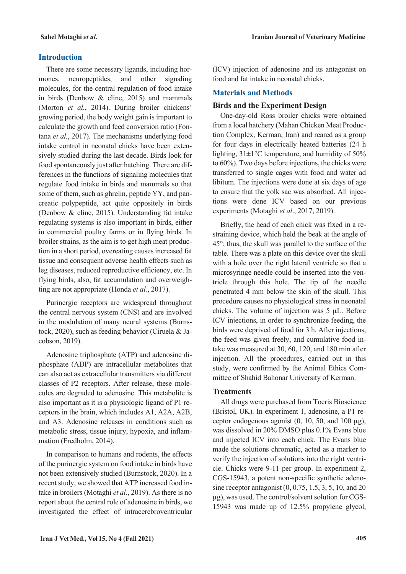## **Introduction**

There are some necessary ligands, including hormones, neuropeptides, and other signaling molecules, for the central regulation of food intake in birds (Denbow & cline, 2015) and mammals (Morton *et al.*, 2014). During broiler chickens' growing period, the body weight gain is important to calculate the growth and feed conversion ratio (Fontana *et al.*, 2017). The mechanisms underlying food intake control in neonatal chicks have been extensively studied during the last decade. Birds look for food spontaneously just after hatching. There are differences in the functions of signaling molecules that regulate food intake in birds and mammals so that some of them, such as ghrelin, peptide YY, and pancreatic polypeptide, act quite oppositely in birds (Denbow & cline, 2015). Understanding fat intake regulating systems is also important in birds, either in commercial poultry farms or in flying birds. In broiler strains, as the aim is to get high meat production in a short period, overeating causes increased fat tissue and consequent adverse health effects such as leg diseases, reduced reproductive efficiency, etc. In flying birds, also, fat accumulation and overweighting are not appropriate (Honda *et al.*, 2017).

Purinergic receptors are widespread throughout the central nervous system (CNS) and are involved in the modulation of many neural systems (Burnstock, 2020), such as feeding behavior (Ciruela & Jacobson, 2019).

Adenosine triphosphate (ATP) and adenosine diphosphate (ADP) are intracellular metabolites that can also act as extracellular transmitters via different classes of P2 receptors. After release, these molecules are degraded to adenosine. This metabolite is also important as it is a physiologic ligand of P1 receptors in the brain, which includes A1, A2A, A2B, and A3. Adenosine releases in conditions such as metabolic stress, tissue injury, hypoxia, and inflammation (Fredholm, 2014).

In comparison to humans and rodents, the effects of the purinergic system on food intake in birds have not been extensively studied (Burnstock, 2020). In a recent study, we showed that ATP increased food intake in broilers (Motaghi *et al.*, 2019). As there is no report about the central role of adenosine in birds, we investigated the effect of intracerebroventricular (ICV) injection of adenosine and its antagonist on food and fat intake in neonatal chicks.

## **Materials and Methods**

## **Birds and the Experiment Design**

One-day-old Ross broiler chicks were obtained from a local hatchery (Mahan Chicken Meat Production Complex, Kerman, Iran) and reared as a group for four days in electrically heated batteries (24 h lighting,  $31\pm1$ °C temperature, and humidity of 50% to 60%). Two days before injections, the chicks were transferred to single cages with food and water ad libitum. The injections were done at six days of age to ensure that the yolk sac was absorbed. All injections were done ICV based on our previous experiments (Motaghi *et al*., 2017, 2019).

Briefly, the head of each chick was fixed in a restraining device, which held the beak at the angle of 45°; thus, the skull was parallel to the surface of the table. There was a plate on this device over the skull with a hole over the right lateral ventricle so that a microsyringe needle could be inserted into the ventricle through this hole. The tip of the needle penetrated 4 mm below the skin of the skull. This procedure causes no physiological stress in neonatal chicks. The volume of injection was 5 µL. Before ICV injections, in order to synchronize feeding, the birds were deprived of food for 3 h. After injections, the feed was given freely, and cumulative food intake was measured at 30, 60, 120, and 180 min after injection. All the procedures, carried out in this study, were confirmed by the Animal Ethics Committee of Shahid Bahonar University of Kerman.

## **Treatments**

All drugs were purchased from Tocris Bioscience (Bristol, UK). In experiment 1, adenosine, a P1 receptor endogenous agonist  $(0, 10, 50, \text{ and } 100 \mu\text{g})$ , was dissolved in 20% DMSO plus 0.1% Evans blue and injected ICV into each chick. The Evans blue made the solutions chromatic, acted as a marker to verify the injection of solutions into the right ventricle. Chicks were 9-11 per group. In experiment 2, CGS-15943, a potent non-specific synthetic adenosine receptor antagonist (0, 0.75, 1.5, 3, 5, 10, and 20 µg), was used. The control/solvent solution for CGS-15943 was made up of 12.5% propylene glycol,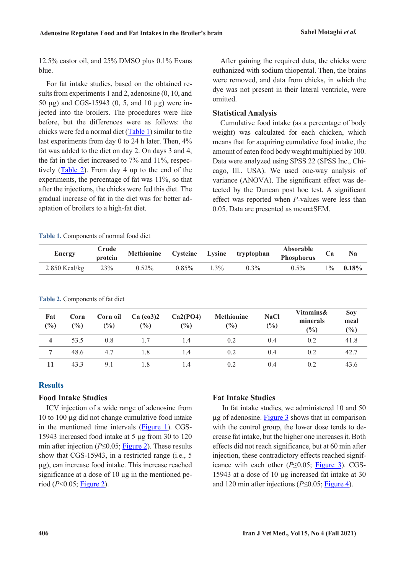12.5% castor oil, and 25% DMSO plus 0.1% Evans blue.

For fat intake studies, based on the obtained results from experiments 1 and 2, adenosine (0, 10, and 50 µg) and CGS-15943 (0, 5, and 10 µg) were injected into the broilers. The procedures were like before, but the differences were as follows: the chicks were fed a normal diet [\(Table 1\)](#page-2-0) similar to the last experiments from day 0 to 24 h later. Then, 4% fat was added to the diet on day 2. On days 3 and 4, the fat in the diet increased to 7% and 11%, respectively [\(Table 2\)](#page-2-1). From day 4 up to the end of the experiments, the percentage of fat was 11%, so that after the injections, the chicks were fed this diet. The gradual increase of fat in the diet was for better adaptation of broilers to a high-fat diet.

After gaining the required data, the chicks were euthanized with sodium thiopental. Then, the brains were removed, and data from chicks, in which the dye was not present in their lateral ventricle, were omitted.

### **Statistical Analysis**

Cumulative food intake (as a percentage of body weight) was calculated for each chicken, which means that for acquiring cumulative food intake, the amount of eaten food body weight multiplied by 100. Data were analyzed using SPSS 22 (SPSS Inc., Chicago, Ill., USA). We used one-way analysis of variance (ANOVA). The significant effect was detected by the Duncan post hoc test. A significant effect was reported when *P-*values were less than 0.05. Data are presented as mean±SEM.

#### <span id="page-2-0"></span>**Table 1.** Components of normal food diet

<span id="page-2-1"></span>**Table 2.** Components of fat diet

| <b>Energy</b>  | Crude<br>protein | Methionine |          |         | Cysteine Lysine tryptophan | Absorable<br>Phosphorus |       | N <sub>a</sub> |
|----------------|------------------|------------|----------|---------|----------------------------|-------------------------|-------|----------------|
| $2850$ Kcal/kg | 23%              | $0.52\%$   | $0.85\%$ | $1.3\%$ | $0.3\%$                    | $0.5\%$                 | $1\%$ | $0.18\%$       |

| Fat<br>$(\%)$ | Corn<br>(%) | Corn oil<br>(%) | $Ca$ (co3)2<br>(9/0) | Ca2(PO4)<br>$(\%)$ | <b>Methionine</b><br>$\frac{6}{2}$ | <b>NaCl</b><br>$(\%)$ | Vitamins&<br>minerals<br>$\binom{0}{0}$ | <b>Soy</b><br>meal<br>$\frac{6}{6}$ |
|---------------|-------------|-----------------|----------------------|--------------------|------------------------------------|-----------------------|-----------------------------------------|-------------------------------------|
| 4             | 53.5        | 0.8             | 1.7                  | 1.4                | 0.2                                | 0.4                   | 0.2                                     | 41.8                                |
| 7             | 48.6        | 4.7             | 1.8                  | 1.4                | 0.2                                | 0.4                   | 0.2                                     | 42.7                                |
| 11            | 43.3        | 9.1             | 1.8                  | 1.4                | 0.2                                | 0.4                   | 0.2                                     | 43.6                                |

### **Results**

#### **Food Intake Studies**

ICV injection of a wide range of adenosine from 10 to 100 µg did not change cumulative food intake in the mentioned time intervals [\(Figure 1\)](#page-3-0). CGS-15943 increased food intake at 5 µg from 30 to 120 min after injection (*P*≤0.05; [Figure 2\)](#page-3-1). These results show that CGS-15943, in a restricted range (i.e., 5 µg), can increase food intake. This increase reached significance at a dose of  $10 \mu$ g in the mentioned period (*P*<0.05; [Figure 2\)](#page-3-1).

### **Fat Intake Studies**

In fat intake studies, we administered 10 and 50 µg of adenosine. [Figure 3](#page-3-2) shows that in comparison with the control group, the lower dose tends to decrease fat intake, but the higher one increases it. Both effects did not reach significance, but at 60 min after injection, these contradictory effects reached significance with each other (*P*≤0.05; [Figure 3\)](#page-3-2). CGS-15943 at a dose of 10 µg increased fat intake at 30 and 120 min after injections (*P*≤0.05; [Figure 4\)](#page-3-3).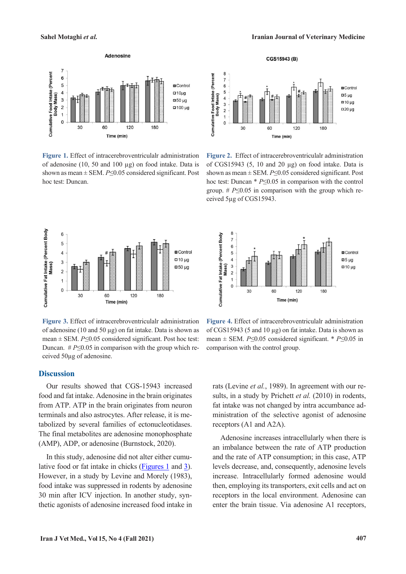

<span id="page-3-0"></span>**Figure 1.** Effect of intracerebroventriculalr administration of adenosine (10, 50 and 100 µg) on food intake. Data is shown as mean ± SEM. *P*≤0.05 considered significant. Post hoc test: Duncan.





CGS15943 (B)

<span id="page-3-1"></span>**Figure 2.** Effect of intracerebroventriculalr administration of CGS15943  $(5, 10 \text{ and } 20 \mu g)$  on food intake. Data is shown as mean ± SEM. *P*≤0.05 considered significant. Post hoc test: Duncan \* *P*≤0.05 in comparison with the control group. # *P*≤0.05 in comparison with the group which received 5µg of CGS15943.



<span id="page-3-2"></span>**Figure 3.** Effect of intracerebroventriculalr administration of adenosine (10 and 50  $\mu$ g) on fat intake. Data is shown as mean ± SEM. *P*≤0.05 considered significant. Post hoc test: Duncan.  $#P \leq 0.05$  in comparison with the group which received 50µg of adenosine.

#### **Discussion**

Our results showed that CGS-15943 increased food and fat intake. Adenosine in the brain originates from ATP. ATP in the brain originates from neuron terminals and also astrocytes. After release, it is metabolized by several families of ectonucleotidases. The final metabolites are adenosine monophosphate (AMP), ADP, or adenosine (Burnstock, 2020).

In this study, adenosine did not alter either cumulative food or fat intake in chicks [\(Figures 1](#page-3-0) and [3\)](#page-3-2). However, in a study by Levine and Morely (1983), food intake was suppressed in rodents by adenosine 30 min after ICV injection. In another study, synthetic agonists of adenosine increased food intake in



<span id="page-3-3"></span>**Figure 4.** Effect of intracerebroventriculalr administration of CGS15943 (5 and 10 µg) on fat intake. Data is shown as mean ± SEM. *P*≤0.05 considered significant. \* *P*≤0.05 in comparison with the control group.

rats (Levine *et al.*, 1989). In agreement with our results, in a study by Prichett *et al.* (2010) in rodents, fat intake was not changed by intra accumbance administration of the selective agonist of adenosine receptors (A1 and A2A).

Adenosine increases intracellularly when there is an imbalance between the rate of ATP production and the rate of ATP consumption; in this case, ATP levels decrease, and, consequently, adenosine levels increase. Intracellularly formed adenosine would then, employing its transporters, exit cells and act on receptors in the local environment. Adenosine can enter the brain tissue. Via adenosine A1 receptors,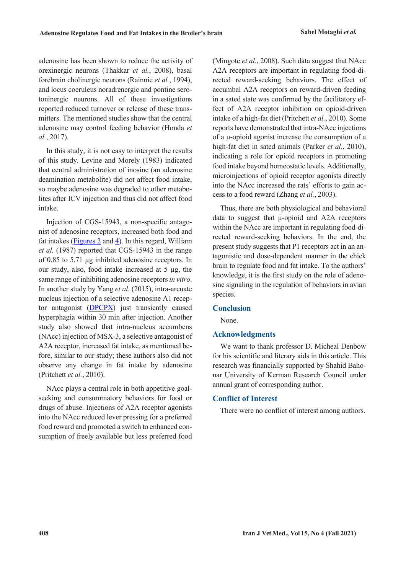adenosine has been shown to reduce the activity of orexinergic neurons (Thakkar *et al.*, 2008), basal forebrain cholinergic neurons (Rainnie *et al.*, 1994), and locus coeruleus noradrenergic and pontine serotoninergic neurons. All of these investigations reported reduced turnover or release of these transmitters. The mentioned studies show that the central adenosine may control feeding behavior (Honda *et al.*, 2017).

In this study, it is not easy to interpret the results of this study. Levine and Morely (1983) indicated that central administration of inosine (an adenosine deamination metabolite) did not affect food intake, so maybe adenosine was degraded to other metabolites after ICV injection and thus did not affect food intake.

Injection of CGS-15943, a non-specific antagonist of adenosine receptors, increased both food and fat intakes ( $Figures 2$  and  $4$ ). In this regard, William</u></u> *et al.* (1987) reported that CGS-15943 in the range of 0.85 to 5.71 µg inhibited adenosine receptors. In our study, also, food intake increased at  $5 \mu g$ , the same range of inhibiting adenosine receptors *in vitro*. In another study by Yang *et al.* (2015), intra-arcuate nucleus injection of a selective adenosine A1 receptor antagonist (DPCPX) just transiently caused hyperphagia within 30 min after injection. Another study also showed that intra-nucleus accumbens (NAcc) injection of MSX-3, a selective antagonist of A2A receptor, increased fat intake, as mentioned before, similar to our study; these authors also did not observe any change in fat intake by adenosine (Pritchett *et al.*, 2010).

NAcc plays a central role in both appetitive goalseeking and consummatory behaviors for food or drugs of abuse. Injections of A2A receptor agonists into the NAcc reduced lever pressing for a preferred food reward and promoted a switch to enhanced consumption of freely available but less preferred food (Mingote *et al*., 2008). Such data suggest that NAcc A2A receptors are important in regulating food-directed reward-seeking behaviors. The effect of accumbal A2A receptors on reward-driven feeding in a sated state was confirmed by the facilitatory effect of A2A receptor inhibition on opioid-driven intake of a high-fat diet (Pritchett *et al.*, 2010). Some reports have demonstrated that intra-NAcc injections of a μ-opioid agonist increase the consumption of a high-fat diet in sated animals (Parker *et al.*, 2010), indicating a role for opioid receptors in promoting food intake beyond homeostatic levels. Additionally, microinjections of opioid receptor agonists directly into the NAcc increased the rats' efforts to gain access to a food reward (Zhang *et al.*, 2003).

Thus, there are both physiological and behavioral data to suggest that μ-opioid and A2A receptors within the NAcc are important in regulating food-directed reward-seeking behaviors. In the end, the present study suggests that P1 receptors act in an antagonistic and dose-dependent manner in the chick brain to regulate food and fat intake. To the authors' knowledge, it is the first study on the role of adenosine signaling in the regulation of behaviors in avian species.

#### **Conclusion**

None.

### **Acknowledgments**

We want to thank professor D. Micheal Denbow for his scientific and literary aids in this article. This research was financially supported by Shahid Bahonar University of Kerman Research Council under annual grant of corresponding author.

#### **Conflict of Interest**

There were no conflict of interest among authors.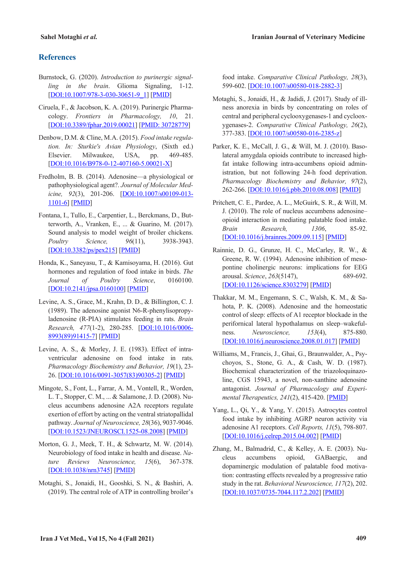#### **References**

- Burnstock, G. (2020). *Introduction to purinergic signalling in the brain*. Glioma Signaling, 1-12. [DOI:10.1007/978-3-030-30651-9\_1] [PMID]
- Ciruela, F., & Jacobson, K. A. (2019). Purinergic Pharmacology. *Frontiers in Pharmacology, 10*, 21. [DOI:10.3389/fphar.2019.00021] [PMID: 30728779]
- Denbow, D.M. & Cline, M.A. (2015). *Food intake regulation. In: Sturkie's Avian Physiology*, (Sixth ed.) Elsevier. Milwaukee, USA, pp. 469-485. [DOI:10.1016/B978-0-12-407160-5.00021-X]
- Fredholm, B. B. (2014). Adenosine—a physiological or pathophysiological agent?. *Journal of Molecular Medicine, 92*(3), 201-206. [DOI:10.1007/s00109-013- 1101-6] [PMID]
- Fontana, I., Tullo, E., Carpentier, L., Berckmans, D., Butterworth, A., Vranken, E., ... & Guarino, M. (2017). Sound analysis to model weight of broiler chickens. *Poultry Science, 96*(11), 3938-3943. [DOI:10.3382/ps/pex215] [PMID]
- Honda, K., Saneyasu, T., & Kamisoyama, H. (2016). Gut hormones and regulation of food intake in birds. *The Journal of Poultry Science*, 0160100. [DOI:10.2141/jpsa.0160100] [PMID]
- Levine, A. S., Grace, M., Krahn, D. D., & Billington, C. J. (1989). The adenosine agonist N6-R-phenylisopropyladenosine (R-PIA) stimulates feeding in rats. *Brain Research, 477*(1-2), 280-285. [DOI:10.1016/0006- 8993(89)91415-7] [PMID]
- Levine, A. S., & Morley, J. E. (1983). Effect of intraventricular adenosine on food intake in rats. *Pharmacology Biochemistry and Behavior, 19*(1), 23- 26. [DOI:10.1016/0091-3057(83)90305-2] [PMID]
- Mingote, S., Font, L., Farrar, A. M., Vontell, R., Worden, L. T., Stopper, C. M., ... & Salamone, J. D. (2008). Nucleus accumbens adenosine A2A receptors regulate exertion of effort by acting on the ventral striatopallidal pathway. *Journal of Neuroscience, 28*(36), 9037-9046. [DOI:10.1523/JNEUROSCI.1525-08.2008] [PMID]
- Morton, G. J., Meek, T. H., & Schwartz, M. W. (2014). Neurobiology of food intake in health and disease. *Nature Reviews Neuroscience, 15*(6), 367-378. [DOI:10.1038/nrn3745] [PMID]
- Motaghi, S., Jonaidi, H., Gooshki, S. N., & Bashiri, A. (2019). The central role of ATP in controlling broiler's

food intake. *Comparative Clinical Pathology, 28*(3), 599-602. [DOI:10.1007/s00580-018-2882-3]

- Motaghi, S., Jonaidi, H., & Jadidi, J. (2017). Study of illness anorexia in birds by concentrating on roles of central and peripheral cyclooxygenases-1 and cyclooxygenases-2. *Comparative Clinical Pathology, 26*(2), 377-383. [DOI:10.1007/s00580-016-2385-z]
- Parker, K. E., McCall, J. G., & Will, M. J. (2010). Basolateral amygdala opioids contribute to increased highfat intake following intra-accumbens opioid administration, but not following 24-h food deprivation. *Pharmacology Biochemistry and Behavior, 97*(2), 262-266. [DOI:10.1016/j.pbb.2010.08.008] [PMID]
- Pritchett, C. E., Pardee, A. L., McGuirk, S. R., & Will, M. J. (2010). The role of nucleus accumbens adenosine– opioid interaction in mediating palatable food intake. *Brain Research, 1306*, 85-92. [DOI:10.1016/j.brainres.2009.09.115] [PMID]
- Rainnie, D. G., Grunze, H. C., McCarley, R. W., & Greene, R. W. (1994). Adenosine inhibition of mesopontine cholinergic neurons: implications for EEG arousal. *Science*, *263*(5147), 689-692. [DOI:10.1126/science.8303279] [PMID]
- Thakkar, M. M., Engemann, S. C., Walsh, K. M., & Sahota, P. K. (2008). Adenosine and the homeostatic control of sleep: effects of A1 receptor blockade in the perifornical lateral hypothalamus on sleep–wakefulness. *Neuroscience, 153*(4), 875-880. [DOI:10.1016/j.neuroscience.2008.01.017] [PMID]
- Williams, M., Francis, J., Ghai, G., Braunwalder, A., Psychoyos, S., Stone, G. A., & Cash, W. D. (1987). Biochemical characterization of the triazoloquinazoline, CGS 15943, a novel, non-xanthine adenosine antagonist. *Journal of Pharmacology and Experimental Therapeutics, 241*(2), 415-420. [PMID]
- Yang, L., Qi, Y., & Yang, Y. (2015). Astrocytes control food intake by inhibiting AGRP neuron activity via adenosine A1 receptors. *Cell Reports, 11*(5), 798-807. [DOI:10.1016/j.celrep.2015.04.002] [PMID]
- Zhang, M., Balmadrid, C., & Kelley, A. E. (2003). Nucleus accumbens opioid, GABaergic, and dopaminergic modulation of palatable food motivation: contrasting effects revealed by a progressive ratio study in the rat. *Behavioral Neuroscience, 117*(2), 202. [DOI:10.1037/0735-7044.117.2.202] [PMID]